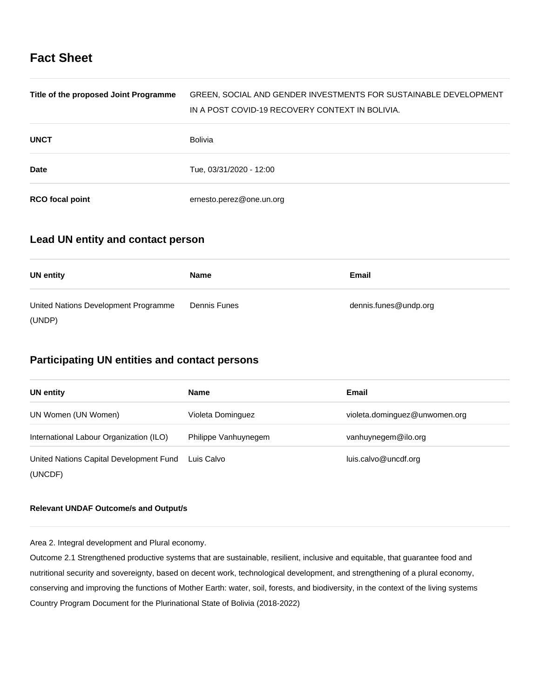# **Fact Sheet**

| Title of the proposed Joint Programme | GREEN, SOCIAL AND GENDER INVESTMENTS FOR SUSTAINABLE DEVELOPMENT<br>IN A POST COVID-19 RECOVERY CONTEXT IN BOLIVIA. |
|---------------------------------------|---------------------------------------------------------------------------------------------------------------------|
| <b>UNCT</b>                           | Bolivia                                                                                                             |
| <b>Date</b>                           | Tue, 03/31/2020 - 12:00                                                                                             |
| <b>RCO</b> focal point                | ernesto.perez@one.un.org                                                                                            |

# **Lead UN entity and contact person**

| <b>UN entity</b>                     | <b>Name</b>  | Email                 |
|--------------------------------------|--------------|-----------------------|
| United Nations Development Programme | Dennis Funes | dennis.funes@undp.org |
| (UNDP)                               |              |                       |

# **Participating UN entities and contact persons**

| <b>UN</b> entity                                   | <b>Name</b>          | Email                         |
|----------------------------------------------------|----------------------|-------------------------------|
| UN Women (UN Women)                                | Violeta Dominguez    | violeta.dominguez@unwomen.org |
| International Labour Organization (ILO)            | Philippe Vanhuynegem | vanhuynegem@ilo.org           |
| United Nations Capital Development Fund<br>(UNCDF) | Luis Calvo           | luis.calvo@uncdf.org          |

## **Relevant UNDAF Outcome/s and Output/s**

Area 2. Integral development and Plural economy.

Outcome 2.1 Strengthened productive systems that are sustainable, resilient, inclusive and equitable, that guarantee food and nutritional security and sovereignty, based on decent work, technological development, and strengthening of a plural economy, conserving and improving the functions of Mother Earth: water, soil, forests, and biodiversity, in the context of the living systems Country Program Document for the Plurinational State of Bolivia (2018-2022)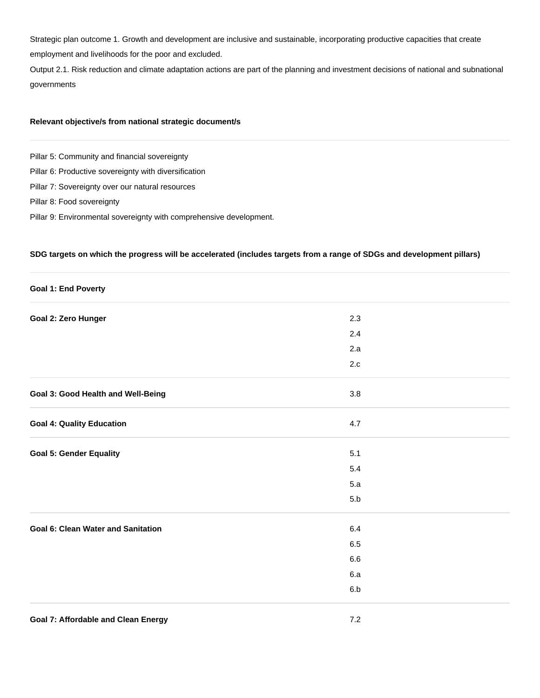Strategic plan outcome 1. Growth and development are inclusive and sustainable, incorporating productive capacities that create employment and livelihoods for the poor and excluded.

Output 2.1. Risk reduction and climate adaptation actions are part of the planning and investment decisions of national and subnational governments

## **Relevant objective/s from national strategic document/s**

Pillar 5: Community and financial sovereignty

Pillar 6: Productive sovereignty with diversification

Pillar 7: Sovereignty over our natural resources

- Pillar 8: Food sovereignty
- Pillar 9: Environmental sovereignty with comprehensive development.

## **SDG targets on which the progress will be accelerated (includes targets from a range of SDGs and development pillars)**

| <b>Goal 1: End Poverty</b>                |         |  |
|-------------------------------------------|---------|--|
| Goal 2: Zero Hunger                       | 2.3     |  |
|                                           | 2.4     |  |
|                                           | 2.a     |  |
|                                           | $2.c$   |  |
| Goal 3: Good Health and Well-Being        | 3.8     |  |
| <b>Goal 4: Quality Education</b>          | 4.7     |  |
| <b>Goal 5: Gender Equality</b>            | 5.1     |  |
|                                           | 5.4     |  |
|                                           | 5.a     |  |
|                                           | 5.b     |  |
| <b>Goal 6: Clean Water and Sanitation</b> | $6.4\,$ |  |
|                                           | $6.5\,$ |  |
|                                           | $6.6\,$ |  |
|                                           | 6.a     |  |
|                                           | 6.b     |  |
|                                           |         |  |

#### **Goal 7: Affordable and Clean Energy 7.2**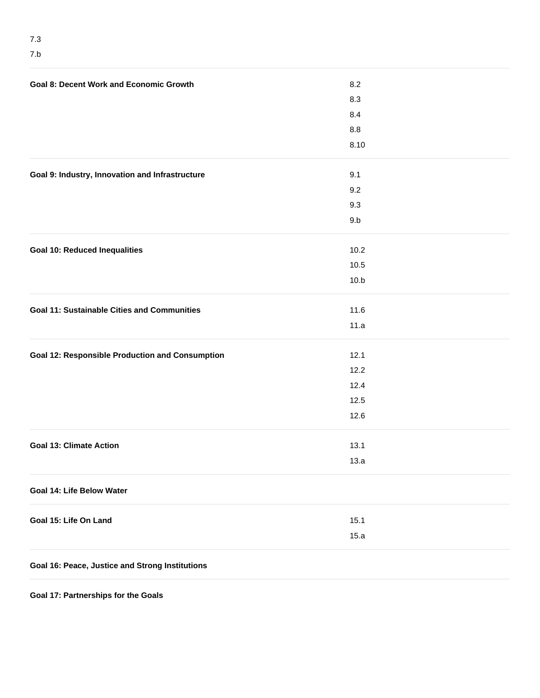| <b>Goal 8: Decent Work and Economic Growth</b>         | 8.2  |  |
|--------------------------------------------------------|------|--|
|                                                        | 8.3  |  |
|                                                        | 8.4  |  |
|                                                        | 8.8  |  |
|                                                        | 8.10 |  |
| Goal 9: Industry, Innovation and Infrastructure        | 9.1  |  |
|                                                        | 9.2  |  |
|                                                        | 9.3  |  |
|                                                        | 9.b  |  |
| <b>Goal 10: Reduced Inequalities</b>                   | 10.2 |  |
|                                                        | 10.5 |  |
|                                                        | 10.b |  |
| <b>Goal 11: Sustainable Cities and Communities</b>     | 11.6 |  |
|                                                        | 11.a |  |
| <b>Goal 12: Responsible Production and Consumption</b> | 12.1 |  |
|                                                        | 12.2 |  |
|                                                        | 12.4 |  |
|                                                        | 12.5 |  |
|                                                        | 12.6 |  |
| <b>Goal 13: Climate Action</b>                         | 13.1 |  |
|                                                        | 13.a |  |
| Goal 14: Life Below Water                              |      |  |
| Goal 15: Life On Land                                  | 15.1 |  |
|                                                        | 15.a |  |
| Goal 16: Peace, Justice and Strong Institutions        |      |  |

**Goal 17: Partnerships for the Goals**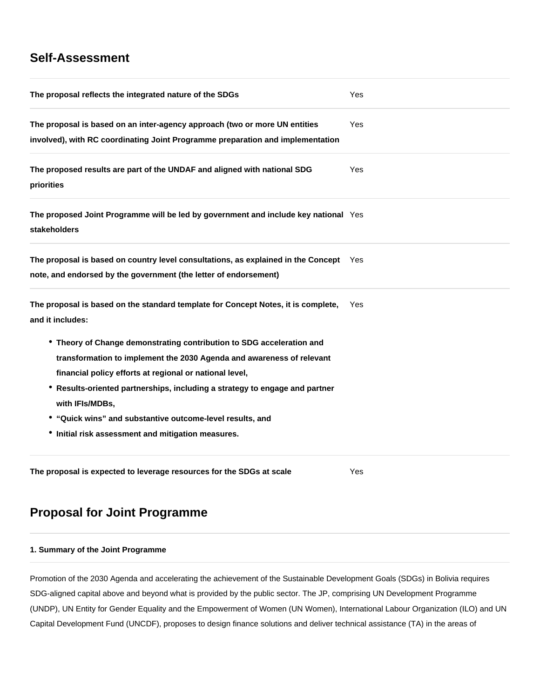# **Self-Assessment**

| The proposal reflects the integrated nature of the SDGs                                                                                                                                                                                                                                                                                                                                                                        | Yes        |  |
|--------------------------------------------------------------------------------------------------------------------------------------------------------------------------------------------------------------------------------------------------------------------------------------------------------------------------------------------------------------------------------------------------------------------------------|------------|--|
| The proposal is based on an inter-agency approach (two or more UN entities<br>involved), with RC coordinating Joint Programme preparation and implementation                                                                                                                                                                                                                                                                   | <b>Yes</b> |  |
| The proposed results are part of the UNDAF and aligned with national SDG<br>priorities                                                                                                                                                                                                                                                                                                                                         | Yes        |  |
| The proposed Joint Programme will be led by government and include key national Yes<br>stakeholders                                                                                                                                                                                                                                                                                                                            |            |  |
| The proposal is based on country level consultations, as explained in the Concept Yes<br>note, and endorsed by the government (the letter of endorsement)                                                                                                                                                                                                                                                                      |            |  |
| The proposal is based on the standard template for Concept Notes, it is complete,<br>and it includes:                                                                                                                                                                                                                                                                                                                          | Yes        |  |
| • Theory of Change demonstrating contribution to SDG acceleration and<br>transformation to implement the 2030 Agenda and awareness of relevant<br>financial policy efforts at regional or national level,<br>• Results-oriented partnerships, including a strategy to engage and partner<br>with IFIs/MDBs,<br>• "Quick wins" and substantive outcome-level results, and<br>• Initial risk assessment and mitigation measures. |            |  |
| The proposal is expected to leverage resources for the SDGs at scale                                                                                                                                                                                                                                                                                                                                                           | Yes        |  |

# **Proposal for Joint Programme**

# **1. Summary of the Joint Programme**

Promotion of the 2030 Agenda and accelerating the achievement of the Sustainable Development Goals (SDGs) in Bolivia requires SDG-aligned capital above and beyond what is provided by the public sector. The JP, comprising UN Development Programme (UNDP), UN Entity for Gender Equality and the Empowerment of Women (UN Women), International Labour Organization (ILO) and UN Capital Development Fund (UNCDF), proposes to design finance solutions and deliver technical assistance (TA) in the areas of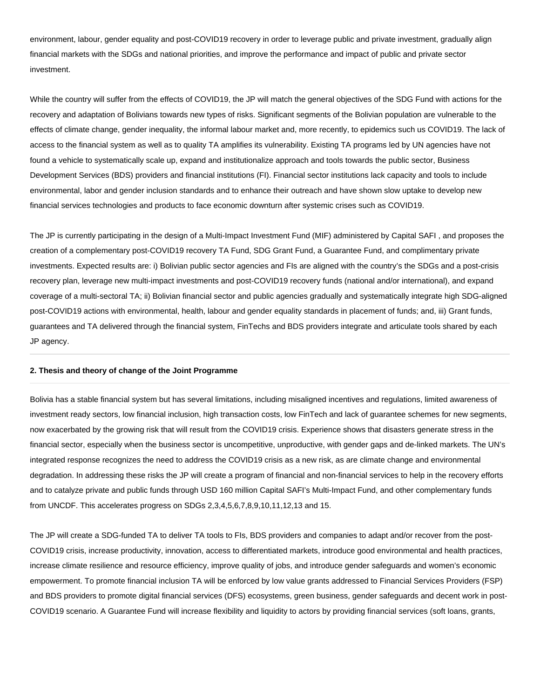environment, labour, gender equality and post-COVID19 recovery in order to leverage public and private investment, gradually align financial markets with the SDGs and national priorities, and improve the performance and impact of public and private sector investment.

While the country will suffer from the effects of COVID19, the JP will match the general objectives of the SDG Fund with actions for the recovery and adaptation of Bolivians towards new types of risks. Significant segments of the Bolivian population are vulnerable to the effects of climate change, gender inequality, the informal labour market and, more recently, to epidemics such us COVID19. The lack of access to the financial system as well as to quality TA amplifies its vulnerability. Existing TA programs led by UN agencies have not found a vehicle to systematically scale up, expand and institutionalize approach and tools towards the public sector, Business Development Services (BDS) providers and financial institutions (FI). Financial sector institutions lack capacity and tools to include environmental, labor and gender inclusion standards and to enhance their outreach and have shown slow uptake to develop new financial services technologies and products to face economic downturn after systemic crises such as COVID19.

The JP is currently participating in the design of a Multi-Impact Investment Fund (MIF) administered by Capital SAFI , and proposes the creation of a complementary post-COVID19 recovery TA Fund, SDG Grant Fund, a Guarantee Fund, and complimentary private investments. Expected results are: i) Bolivian public sector agencies and FIs are aligned with the country's the SDGs and a post-crisis recovery plan, leverage new multi-impact investments and post-COVID19 recovery funds (national and/or international), and expand coverage of a multi-sectoral TA; ii) Bolivian financial sector and public agencies gradually and systematically integrate high SDG-aligned post-COVID19 actions with environmental, health, labour and gender equality standards in placement of funds; and, iii) Grant funds, guarantees and TA delivered through the financial system, FinTechs and BDS providers integrate and articulate tools shared by each JP agency.

#### **2. Thesis and theory of change of the Joint Programme**

Bolivia has a stable financial system but has several limitations, including misaligned incentives and regulations, limited awareness of investment ready sectors, low financial inclusion, high transaction costs, low FinTech and lack of guarantee schemes for new segments, now exacerbated by the growing risk that will result from the COVID19 crisis. Experience shows that disasters generate stress in the financial sector, especially when the business sector is uncompetitive, unproductive, with gender gaps and de-linked markets. The UN's integrated response recognizes the need to address the COVID19 crisis as a new risk, as are climate change and environmental degradation. In addressing these risks the JP will create a program of financial and non-financial services to help in the recovery efforts and to catalyze private and public funds through USD 160 million Capital SAFI's Multi-Impact Fund, and other complementary funds from UNCDF. This accelerates progress on SDGs 2,3,4,5,6,7,8,9,10,11,12,13 and 15.

The JP will create a SDG-funded TA to deliver TA tools to FIs, BDS providers and companies to adapt and/or recover from the post-COVID19 crisis, increase productivity, innovation, access to differentiated markets, introduce good environmental and health practices, increase climate resilience and resource efficiency, improve quality of jobs, and introduce gender safeguards and women's economic empowerment. To promote financial inclusion TA will be enforced by low value grants addressed to Financial Services Providers (FSP) and BDS providers to promote digital financial services (DFS) ecosystems, green business, gender safeguards and decent work in post-COVID19 scenario. A Guarantee Fund will increase flexibility and liquidity to actors by providing financial services (soft loans, grants,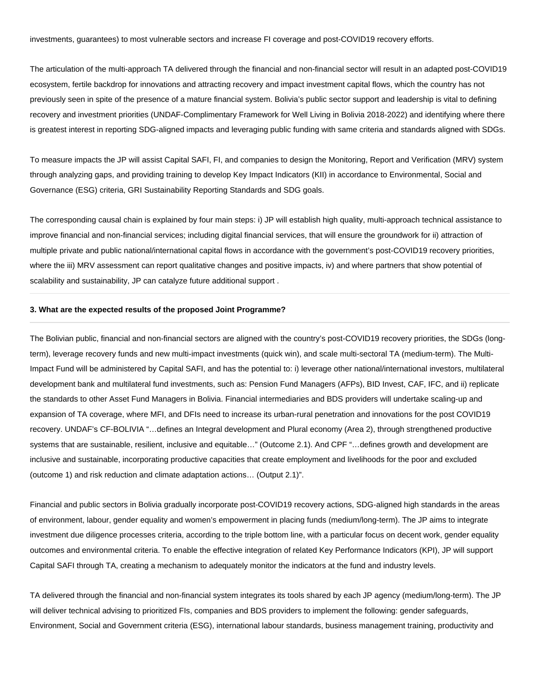investments, guarantees) to most vulnerable sectors and increase FI coverage and post-COVID19 recovery efforts.

The articulation of the multi-approach TA delivered through the financial and non-financial sector will result in an adapted post-COVID19 ecosystem, fertile backdrop for innovations and attracting recovery and impact investment capital flows, which the country has not previously seen in spite of the presence of a mature financial system. Bolivia's public sector support and leadership is vital to defining recovery and investment priorities (UNDAF-Complimentary Framework for Well Living in Bolivia 2018-2022) and identifying where there is greatest interest in reporting SDG-aligned impacts and leveraging public funding with same criteria and standards aligned with SDGs.

To measure impacts the JP will assist Capital SAFI, FI, and companies to design the Monitoring, Report and Verification (MRV) system through analyzing gaps, and providing training to develop Key Impact Indicators (KII) in accordance to Environmental, Social and Governance (ESG) criteria, GRI Sustainability Reporting Standards and SDG goals.

The corresponding causal chain is explained by four main steps: i) JP will establish high quality, multi-approach technical assistance to improve financial and non-financial services; including digital financial services, that will ensure the groundwork for ii) attraction of multiple private and public national/international capital flows in accordance with the government's post-COVID19 recovery priorities, where the iii) MRV assessment can report qualitative changes and positive impacts, iv) and where partners that show potential of scalability and sustainability, JP can catalyze future additional support.

## **3. What are the expected results of the proposed Joint Programme?**

The Bolivian public, financial and non-financial sectors are aligned with the country's post-COVID19 recovery priorities, the SDGs (longterm), leverage recovery funds and new multi-impact investments (quick win), and scale multi-sectoral TA (medium-term). The Multi-Impact Fund will be administered by Capital SAFI, and has the potential to: i) leverage other national/international investors, multilateral development bank and multilateral fund investments, such as: Pension Fund Managers (AFPs), BID Invest, CAF, IFC, and ii) replicate the standards to other Asset Fund Managers in Bolivia. Financial intermediaries and BDS providers will undertake scaling-up and expansion of TA coverage, where MFI, and DFIs need to increase its urban-rural penetration and innovations for the post COVID19 recovery. UNDAF's CF-BOLIVIA "…defines an Integral development and Plural economy (Area 2), through strengthened productive systems that are sustainable, resilient, inclusive and equitable…" (Outcome 2.1). And CPF "…defines growth and development are inclusive and sustainable, incorporating productive capacities that create employment and livelihoods for the poor and excluded (outcome 1) and risk reduction and climate adaptation actions… (Output 2.1)".

Financial and public sectors in Bolivia gradually incorporate post-COVID19 recovery actions, SDG-aligned high standards in the areas of environment, labour, gender equality and women's empowerment in placing funds (medium/long-term). The JP aims to integrate investment due diligence processes criteria, according to the triple bottom line, with a particular focus on decent work, gender equality outcomes and environmental criteria. To enable the effective integration of related Key Performance Indicators (KPI), JP will support Capital SAFI through TA, creating a mechanism to adequately monitor the indicators at the fund and industry levels.

TA delivered through the financial and non-financial system integrates its tools shared by each JP agency (medium/long-term). The JP will deliver technical advising to prioritized FIs, companies and BDS providers to implement the following: gender safeguards, Environment, Social and Government criteria (ESG), international labour standards, business management training, productivity and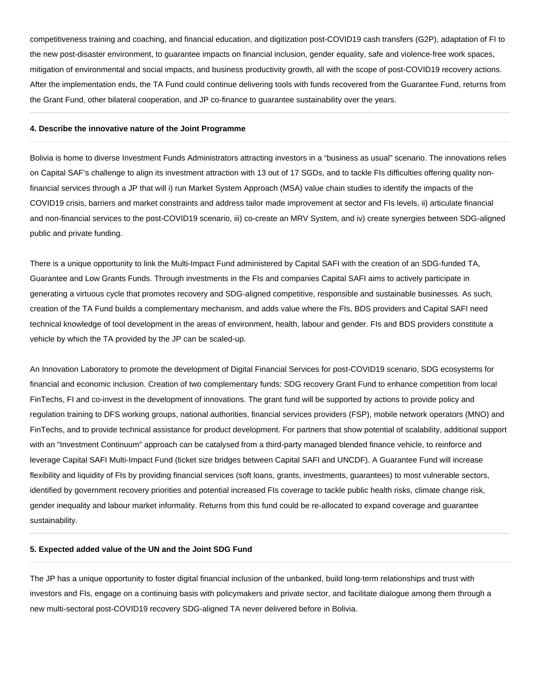competitiveness training and coaching, and financial education, and digitization post-COVID19 cash transfers (G2P), adaptation of FI to the new post-disaster environment, to guarantee impacts on financial inclusion, gender equality, safe and violence-free work spaces, mitigation of environmental and social impacts, and business productivity growth, all with the scope of post-COVID19 recovery actions. After the implementation ends, the TA Fund could continue delivering tools with funds recovered from the Guarantee Fund, returns from the Grant Fund, other bilateral cooperation, and JP co-finance to guarantee sustainability over the years.

#### **4. Describe the innovative nature of the Joint Programme**

Bolivia is home to diverse Investment Funds Administrators attracting investors in a "business as usual" scenario. The innovations relies on Capital SAF's challenge to align its investment attraction with 13 out of 17 SGDs, and to tackle FIs difficulties offering quality nonfinancial services through a JP that will i) run Market System Approach (MSA) value chain studies to identify the impacts of the COVID19 crisis, barriers and market constraints and address tailor made improvement at sector and FIs levels, ii) articulate financial and non-financial services to the post-COVID19 scenario, iii) co-create an MRV System, and iv) create synergies between SDG-aligned public and private funding.

There is a unique opportunity to link the Multi-Impact Fund administered by Capital SAFI with the creation of an SDG-funded TA, Guarantee and Low Grants Funds. Through investments in the FIs and companies Capital SAFI aims to actively participate in generating a virtuous cycle that promotes recovery and SDG-aligned competitive, responsible and sustainable businesses. As such, creation of the TA Fund builds a complementary mechanism, and adds value where the FIs, BDS providers and Capital SAFI need technical knowledge of tool development in the areas of environment, health, labour and gender. FIs and BDS providers constitute a vehicle by which the TA provided by the JP can be scaled-up.

An Innovation Laboratory to promote the development of Digital Financial Services for post-COVID19 scenario, SDG ecosystems for financial and economic inclusion. Creation of two complementary funds: SDG recovery Grant Fund to enhance competition from local FinTechs, FI and co-invest in the development of innovations. The grant fund will be supported by actions to provide policy and regulation training to DFS working groups, national authorities, financial services providers (FSP), mobile network operators (MNO) and FinTechs, and to provide technical assistance for product development. For partners that show potential of scalability, additional support with an "Investment Continuum" approach can be catalysed from a third-party managed blended finance vehicle, to reinforce and leverage Capital SAFI Multi-Impact Fund (ticket size bridges between Capital SAFI and UNCDF). A Guarantee Fund will increase flexibility and liquidity of FIs by providing financial services (soft loans, grants, investments, guarantees) to most vulnerable sectors, identified by government recovery priorities and potential increased FIs coverage to tackle public health risks, climate change risk, gender inequality and labour market informality. Returns from this fund could be re-allocated to expand coverage and guarantee sustainability.

#### **5. Expected added value of the UN and the Joint SDG Fund**

The JP has a unique opportunity to foster digital financial inclusion of the unbanked, build long-term relationships and trust with investors and FIs, engage on a continuing basis with policymakers and private sector, and facilitate dialogue among them through a new multi-sectoral post-COVID19 recovery SDG-aligned TA never delivered before in Bolivia.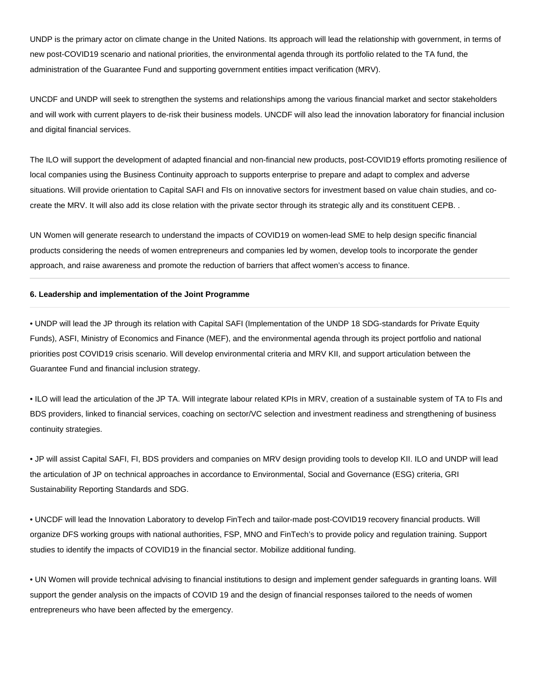UNDP is the primary actor on climate change in the United Nations. Its approach will lead the relationship with government, in terms of new post-COVID19 scenario and national priorities, the environmental agenda through its portfolio related to the TA fund, the administration of the Guarantee Fund and supporting government entities impact verification (MRV).

UNCDF and UNDP will seek to strengthen the systems and relationships among the various financial market and sector stakeholders and will work with current players to de-risk their business models. UNCDF will also lead the innovation laboratory for financial inclusion and digital financial services.

The ILO will support the development of adapted financial and non-financial new products, post-COVID19 efforts promoting resilience of local companies using the Business Continuity approach to supports enterprise to prepare and adapt to complex and adverse situations. Will provide orientation to Capital SAFI and FIs on innovative sectors for investment based on value chain studies, and cocreate the MRV. It will also add its close relation with the private sector through its strategic ally and its constituent CEPB. .

UN Women will generate research to understand the impacts of COVID19 on women-lead SME to help design specific financial products considering the needs of women entrepreneurs and companies led by women, develop tools to incorporate the gender approach, and raise awareness and promote the reduction of barriers that affect women's access to finance.

### **6. Leadership and implementation of the Joint Programme**

• UNDP will lead the JP through its relation with Capital SAFI (Implementation of the UNDP 18 SDG-standards for Private Equity Funds), ASFI, Ministry of Economics and Finance (MEF), and the environmental agenda through its project portfolio and national priorities post COVID19 crisis scenario. Will develop environmental criteria and MRV KII, and support articulation between the Guarantee Fund and financial inclusion strategy.

• ILO will lead the articulation of the JP TA. Will integrate labour related KPIs in MRV, creation of a sustainable system of TA to FIs and BDS providers, linked to financial services, coaching on sector/VC selection and investment readiness and strengthening of business continuity strategies.

• JP will assist Capital SAFI, FI, BDS providers and companies on MRV design providing tools to develop KII. ILO and UNDP will lead the articulation of JP on technical approaches in accordance to Environmental, Social and Governance (ESG) criteria, GRI Sustainability Reporting Standards and SDG.

• UNCDF will lead the Innovation Laboratory to develop FinTech and tailor-made post-COVID19 recovery financial products. Will organize DFS working groups with national authorities, FSP, MNO and FinTech's to provide policy and regulation training. Support studies to identify the impacts of COVID19 in the financial sector. Mobilize additional funding.

• UN Women will provide technical advising to financial institutions to design and implement gender safeguards in granting loans. Will support the gender analysis on the impacts of COVID 19 and the design of financial responses tailored to the needs of women entrepreneurs who have been affected by the emergency.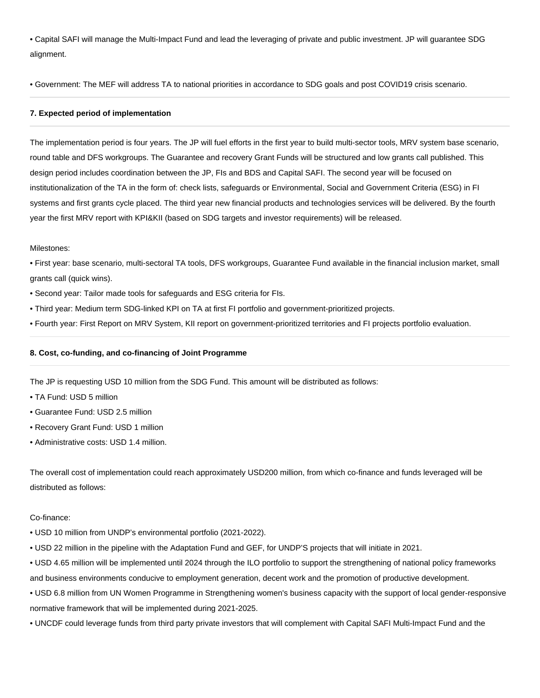• Capital SAFI will manage the Multi-Impact Fund and lead the leveraging of private and public investment. JP will guarantee SDG alignment.

• Government: The MEF will address TA to national priorities in accordance to SDG goals and post COVID19 crisis scenario.

### **7. Expected period of implementation**

The implementation period is four years. The JP will fuel efforts in the first year to build multi-sector tools, MRV system base scenario, round table and DFS workgroups. The Guarantee and recovery Grant Funds will be structured and low grants call published. This design period includes coordination between the JP, FIs and BDS and Capital SAFI. The second year will be focused on institutionalization of the TA in the form of: check lists, safeguards or Environmental, Social and Government Criteria (ESG) in FI systems and first grants cycle placed. The third year new financial products and technologies services will be delivered. By the fourth year the first MRV report with KPI&KII (based on SDG targets and investor requirements) will be released.

#### Milestones:

• First year: base scenario, multi-sectoral TA tools, DFS workgroups, Guarantee Fund available in the financial inclusion market, small grants call (quick wins).

- Second year: Tailor made tools for safeguards and ESG criteria for FIs.
- Third year: Medium term SDG-linked KPI on TA at first FI portfolio and government-prioritized projects.
- Fourth year: First Report on MRV System, KII report on government-prioritized territories and FI projects portfolio evaluation.

#### **8. Cost, co-funding, and co-financing of Joint Programme**

The JP is requesting USD 10 million from the SDG Fund. This amount will be distributed as follows:

- TA Fund: USD 5 million
- Guarantee Fund: USD 2.5 million
- Recovery Grant Fund: USD 1 million
- Administrative costs: USD 1.4 million.

The overall cost of implementation could reach approximately USD200 million, from which co-finance and funds leveraged will be distributed as follows:

#### Co-finance:

- USD 10 million from UNDP's environmental portfolio (2021-2022).
- USD 22 million in the pipeline with the Adaptation Fund and GEF, for UNDP'S projects that will initiate in 2021.
- USD 4.65 million will be implemented until 2024 through the ILO portfolio to support the strengthening of national policy frameworks and business environments conducive to employment generation, decent work and the promotion of productive development.
- USD 6.8 million from UN Women Programme in Strengthening women's business capacity with the support of local gender-responsive normative framework that will be implemented during 2021-2025.
- UNCDF could leverage funds from third party private investors that will complement with Capital SAFI Multi-Impact Fund and the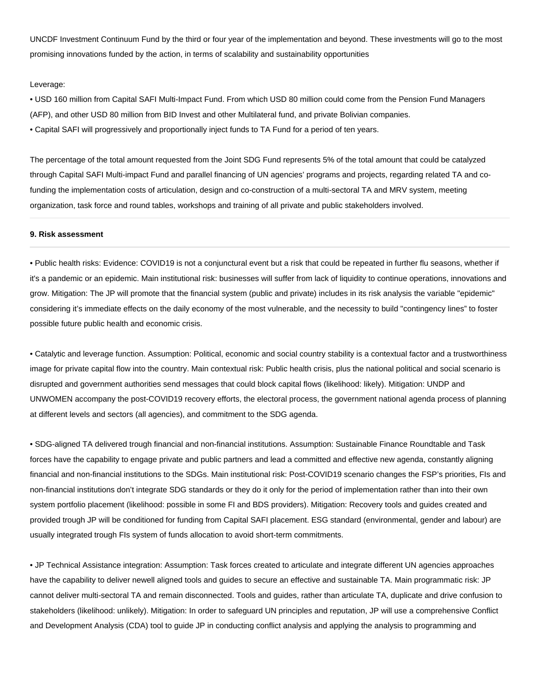UNCDF Investment Continuum Fund by the third or four year of the implementation and beyond. These investments will go to the most promising innovations funded by the action, in terms of scalability and sustainability opportunities

#### Leverage:

• USD 160 million from Capital SAFI Multi-Impact Fund. From which USD 80 million could come from the Pension Fund Managers (AFP), and other USD 80 million from BID Invest and other Multilateral fund, and private Bolivian companies.

• Capital SAFI will progressively and proportionally inject funds to TA Fund for a period of ten years.

The percentage of the total amount requested from the Joint SDG Fund represents 5% of the total amount that could be catalyzed through Capital SAFI Multi-impact Fund and parallel financing of UN agencies' programs and projects, regarding related TA and cofunding the implementation costs of articulation, design and co-construction of a multi-sectoral TA and MRV system, meeting organization, task force and round tables, workshops and training of all private and public stakeholders involved.

### **9. Risk assessment**

• Public health risks: Evidence: COVID19 is not a conjunctural event but a risk that could be repeated in further flu seasons, whether if it's a pandemic or an epidemic. Main institutional risk: businesses will suffer from lack of liquidity to continue operations, innovations and grow. Mitigation: The JP will promote that the financial system (public and private) includes in its risk analysis the variable "epidemic" considering it's immediate effects on the daily economy of the most vulnerable, and the necessity to build "contingency lines" to foster possible future public health and economic crisis.

• Catalytic and leverage function. Assumption: Political, economic and social country stability is a contextual factor and a trustworthiness image for private capital flow into the country. Main contextual risk: Public health crisis, plus the national political and social scenario is disrupted and government authorities send messages that could block capital flows (likelihood: likely). Mitigation: UNDP and UNWOMEN accompany the post-COVID19 recovery efforts, the electoral process, the government national agenda process of planning at different levels and sectors (all agencies), and commitment to the SDG agenda.

• SDG-aligned TA delivered trough financial and non-financial institutions. Assumption: Sustainable Finance Roundtable and Task forces have the capability to engage private and public partners and lead a committed and effective new agenda, constantly aligning financial and non-financial institutions to the SDGs. Main institutional risk: Post-COVID19 scenario changes the FSP's priorities, FIs and non-financial institutions don't integrate SDG standards or they do it only for the period of implementation rather than into their own system portfolio placement (likelihood: possible in some FI and BDS providers). Mitigation: Recovery tools and guides created and provided trough JP will be conditioned for funding from Capital SAFI placement. ESG standard (environmental, gender and labour) are usually integrated trough FIs system of funds allocation to avoid short-term commitments.

• JP Technical Assistance integration: Assumption: Task forces created to articulate and integrate different UN agencies approaches have the capability to deliver newell aligned tools and guides to secure an effective and sustainable TA. Main programmatic risk: JP cannot deliver multi-sectoral TA and remain disconnected. Tools and guides, rather than articulate TA, duplicate and drive confusion to stakeholders (likelihood: unlikely). Mitigation: In order to safeguard UN principles and reputation, JP will use a comprehensive Conflict and Development Analysis (CDA) tool to guide JP in conducting conflict analysis and applying the analysis to programming and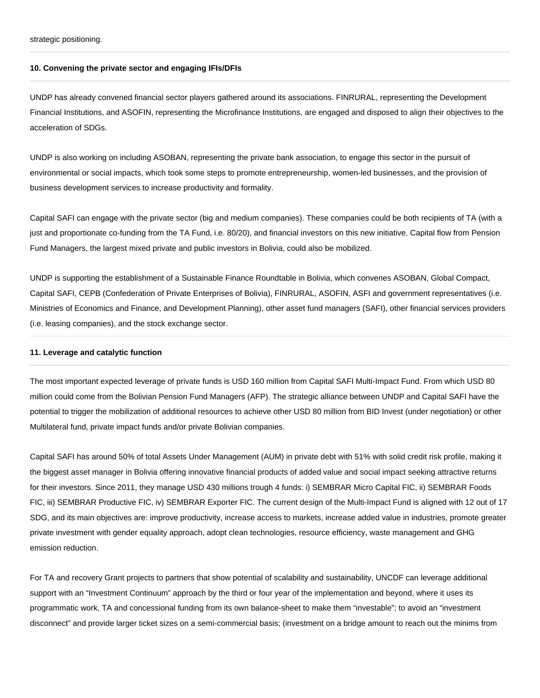strategic positioning.

#### **10. Convening the private sector and engaging IFIs/DFIs**

UNDP has already convened financial sector players gathered around its associations. FINRURAL, representing the Development Financial Institutions, and ASOFIN, representing the Microfinance Institutions, are engaged and disposed to align their objectives to the acceleration of SDGs.

UNDP is also working on including ASOBAN, representing the private bank association, to engage this sector in the pursuit of environmental or social impacts, which took some steps to promote entrepreneurship, women-led businesses, and the provision of business development services to increase productivity and formality.

Capital SAFI can engage with the private sector (big and medium companies). These companies could be both recipients of TA (with a just and proportionate co-funding from the TA Fund, i.e. 80/20), and financial investors on this new initiative. Capital flow from Pension Fund Managers, the largest mixed private and public investors in Bolivia, could also be mobilized.

UNDP is supporting the establishment of a Sustainable Finance Roundtable in Bolivia, which convenes ASOBAN, Global Compact, Capital SAFI, CEPB (Confederation of Private Enterprises of Bolivia), FINRURAL, ASOFIN, ASFI and government representatives (i.e. Ministries of Economics and Finance, and Development Planning), other asset fund managers (SAFI), other financial services providers (i.e. leasing companies), and the stock exchange sector.

### **11. Leverage and catalytic function**

The most important expected leverage of private funds is USD 160 million from Capital SAFI Multi-Impact Fund. From which USD 80 million could come from the Bolivian Pension Fund Managers (AFP). The strategic alliance between UNDP and Capital SAFI have the potential to trigger the mobilization of additional resources to achieve other USD 80 million from BID Invest (under negotiation) or other Multilateral fund, private impact funds and/or private Bolivian companies.

Capital SAFI has around 50% of total Assets Under Management (AUM) in private debt with 51% with solid credit risk profile, making it the biggest asset manager in Bolivia offering innovative financial products of added value and social impact seeking attractive returns for their investors. Since 2011, they manage USD 430 millions trough 4 funds: i) SEMBRAR Micro Capital FIC, ii) SEMBRAR Foods FIC, iii) SEMBRAR Productive FIC, iv) SEMBRAR Exporter FIC. The current design of the Multi-Impact Fund is aligned with 12 out of 17 SDG, and its main objectives are: improve productivity, increase access to markets, increase added value in industries, promote greater private investment with gender equality approach, adopt clean technologies, resource efficiency, waste management and GHG emission reduction.

For TA and recovery Grant projects to partners that show potential of scalability and sustainability, UNCDF can leverage additional support with an "Investment Continuum" approach by the third or four year of the implementation and beyond, where it uses its programmatic work, TA and concessional funding from its own balance-sheet to make them "investable"; to avoid an "investment disconnect" and provide larger ticket sizes on a semi-commercial basis; (investment on a bridge amount to reach out the minims from